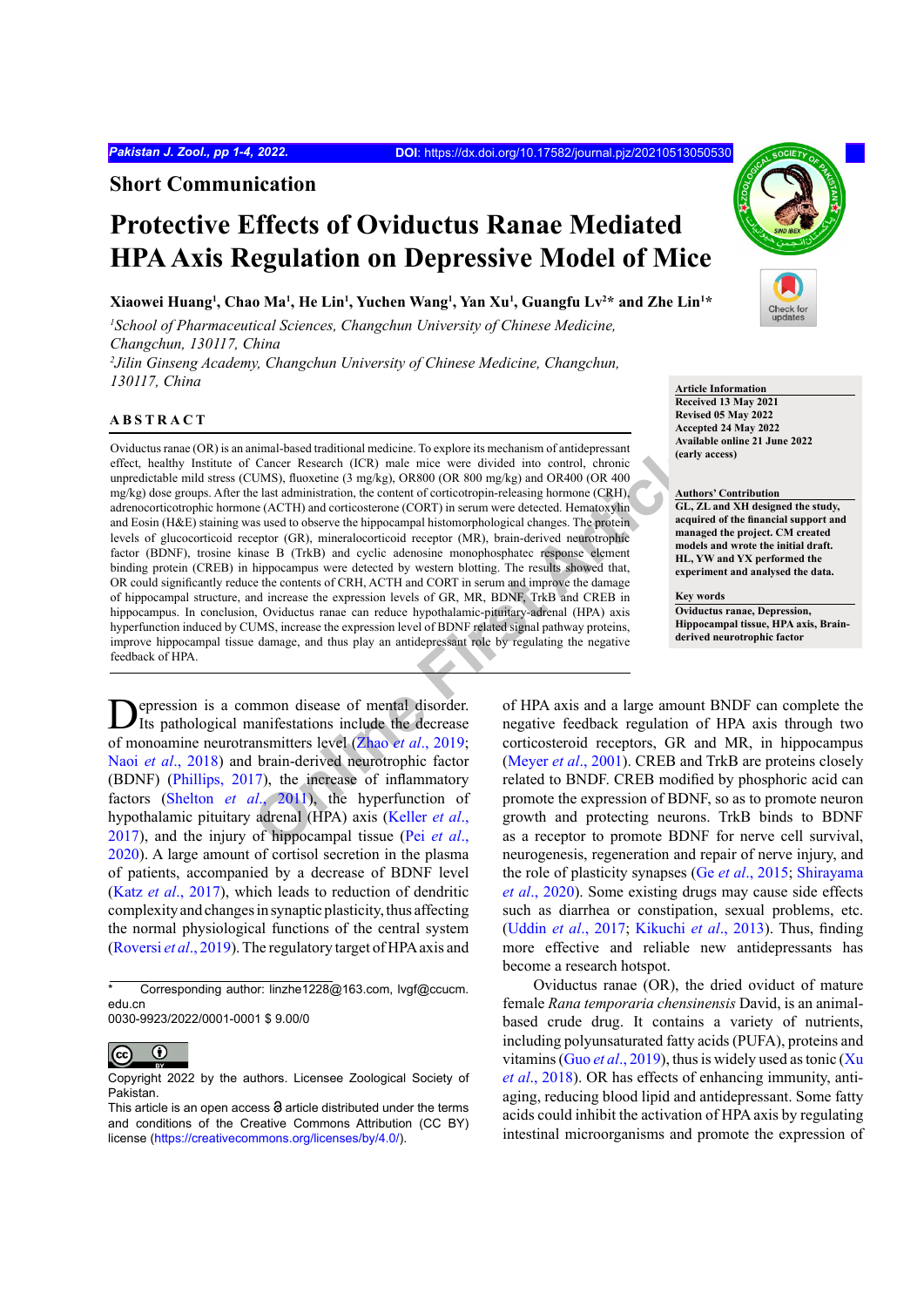**Short Communication**

# **Protective Effects of Oviductus Ranae Mediated HPA Axis Regulation on Depressive Model of Mice**

# **Xiaowei Huang1 , Chao Ma1 , He Lin1 , Yuchen Wang1 , Yan Xu1 , Guangfu Lv2 \* and Zhe Lin1 \***

<sup>1</sup> School of Pharmaceutical Sciences, Changchun University of Chinese Medicine, *Changchun, 130117, China 2 Jilin Ginseng Academy, Changchun University of Chinese Medicine, Changchun, 130117, China* **Article Information**

## **ABSTRACT**

nimal-based traditional medicine. To explore its mechanism of antidepressant<br>
Clarer Research (ICR) male mice were divided into control, chronic<br>
UMS), fluoxetine (3 mg/kg), OR800 (OR 800 mg/kg) and OR400 (OR 400<br>
Le (ACTH Oviductus ranae (OR) is an animal-based traditional medicine. To explore its mechanism of antidepressant effect, healthy Institute of Cancer Research (ICR) male mice were divided into control, chronic unpredictable mild stress (CUMS), fluoxetine (3 mg/kg), OR800 (OR 800 mg/kg) and OR400 (OR 400  $mg/kg$ ) dose groups. After the last administration, the content of corticotropin-releasing hormone (CRH) adrenocorticotrophic hormone (ACTH) and corticosterone (CORT) in serum were detected. Hematoxylin and Eosin (H&E) staining was used to observe the hippocampal histomorphological changes. The protein levels of glucocorticoid receptor (GR), mineralocorticoid receptor (MR), brain-derived neurotrophic factor (BDNF), trosine kinase B (TrkB) and cyclic adenosine monophosphatec response element binding protein (CREB) in hippocampus were detected by western blotting. The results showed that, OR could significantly reduce the contents of CRH, ACTH and CORT in serum and improve the damage of hippocampal structure, and increase the expression levels of GR, MR, BDNF, TrkB and CREB in hippocampus. In conclusion, Oviductus ranae can reduce hypothalamic-pituitary-adrenal (HPA) axis hyperfunction induced by CUMS, increase the expression level of BDNF related signal pathway proteins, improve hippocampal tissue damage, and thus play an antidepressant role by regulating the negative feedback of HPA.

**D**epression is a common disease of mental disorder.<br>Its pathological manifestations include the decrease of monoamine neurotransmitters level (Zhao *et al*., 2019; Naoi *et al*., 2018) and brain-derived neurotrophic factor (BDNF) (Phillips, 2017), the increase of inflammatory factors (Shelton *et al*., 2011), the hyperfunction of hypothalamic pituitary adrenal (HPA) axis (Keller *et al*., 2017), and the injury of hippocampal tissue (Pei *et al*., 2020). A large amount of cortisol secretion in the plasma of patients, accompanied by a decrease of BDNF level (Katz *et al*., 2017), which leads to reduction of dendritic complexity and changes in synaptic plasticity, thus affecting the normal physiological functions of the central system (Roversi *et al*., 2019). The regulatory target of HPA axis and

0030-9923/2022/0001-0001 \$ 9.00/0

 $\odot$ 

**Received 13 May 2021 Revised 05 May 2022 Accepted 24 May 2022 Available online 21 June 2022**

**Authors' Contribution GL, ZL and XH designed the study,** 

**acquired of the financial support and managed the project. CM created models and wrote the initial draft. HL, YW and YX performed the experiment and analysed the data.**

**Key words**

**(early access)**

**Oviductus ranae, Depression, Hippocampal tissue, HPA axis, Brainderived neurotrophic factor**

of HPA axis and a large amount BNDF can complete the negative feedback regulation of HPA axis through two corticosteroid receptors, GR and MR, in hippocampus (Meyer *et al*., 2001). CREB and TrkB are proteins closely related to BNDF. CREB modified by phosphoric acid can promote the expression of BDNF, so as to promote neuron growth and protecting neurons. TrkB binds to BDNF as a receptor to promote BDNF for nerve cell survival, neurogenesis, regeneration and repair of nerve injury, and the role of plasticity synapses (Ge *et al*., 2015; Shirayama *et al*., 2020). Some existing drugs may cause side effects such as diarrhea or constipation, sexual problems, etc. (Uddin *et al*., 2017; Kikuchi *et al*., 2013). Thus, finding more effective and reliable new antidepressants has become a research hotspot.

Oviductus ranae (OR), the dried oviduct of mature female *Rana temporaria chensinensis* David, is an animalbased crude drug. It contains a variety of nutrients, including polyunsaturated fatty acids (PUFA), proteins and vitamins (Guo *et al*., 2019), thus is widely used as tonic (Xu *et al*., 2018). OR has effects of enhancing immunity, antiaging, reducing blood lipid and antidepressant. Some fatty acids could inhibit the activation of HPA axis by regulating intestinal microorganisms and promote the expression of



Corresponding author: linzhe1228@163.com, lvgf@ccucm. edu.cn

Copyright 2022 by the authors. Licensee Zoological Society of Pakistan.

This article is an open access  $\Theta$  article distributed under the terms and conditions of the Creative Commons Attribution (CC BY) license (<https://creativecommons.org/licenses/by/4.0/>).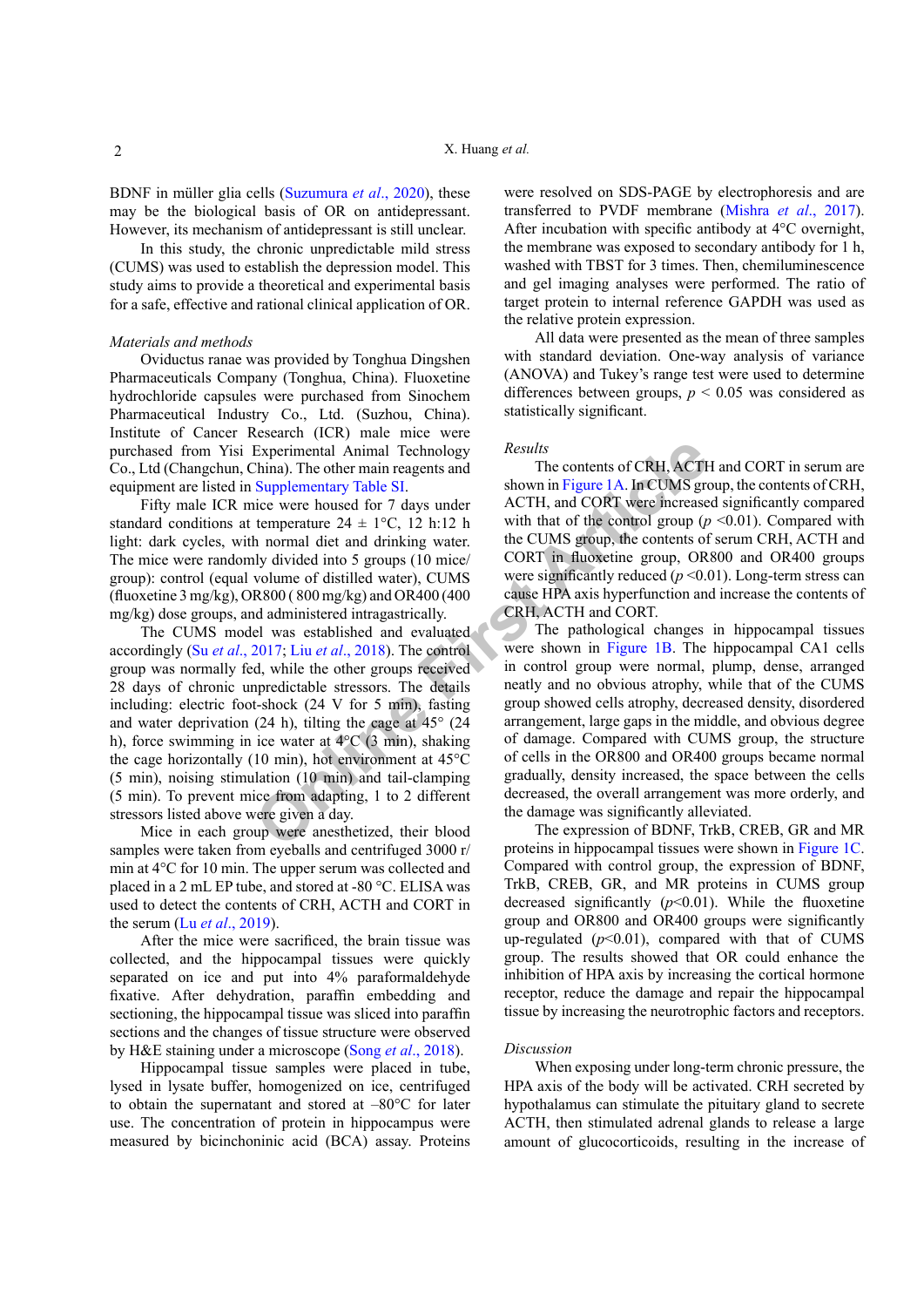BDNF in müller glia cells (Suzumura *et al*., 2020), these may be the biological basis of OR on antidepressant. However, its mechanism of antidepressant is still unclear.

In this study, the chronic unpredictable mild stress (CUMS) was used to establish the depression model. This study aims to provide a theoretical and experimental basis for a safe, effective and rational clinical application of OR.

#### *Materials and methods*

Oviductus ranae was provided by Tonghua Dingshen Pharmaceuticals Company (Tonghua, China). Fluoxetine hydrochloride capsules were purchased from Sinochem Pharmaceutical Industry Co., Ltd. (Suzhou, China). Institute of Cancer Research (ICR) male mice were purchased from Yisi Experimental Animal Technology Co., Ltd (Changchun, China). The other main reagents and equipment are listed in Supplementary Table SI.

Fifty male ICR mice were housed for 7 days under standard conditions at temperature  $24 \pm 1$ °C, 12 h:12 h light: dark cycles, with normal diet and drinking water. The mice were randomly divided into 5 groups (10 mice/ group): control (equal volume of distilled water), CUMS (fluoxetine 3 mg/kg), OR800 ( 800 mg/kg) and OR400 (400 mg/kg) dose groups, and administered intragastrically.

Experimental Animal Technology<br>
China). The other main reagents and<br>
Supplementary Table S1.<br>
Supplementary Table S1.<br>
Supplementary Table S1.<br>
Supplementary Table S1.<br>
Supplementary Table S1.<br>
Supplementary Table S1.<br>
Su The CUMS model was established and evaluated accordingly (Su *et al*., 2017; Liu *et al*., 2018). The control group was normally fed, while the other groups received 28 days of chronic unpredictable stressors. The details including: electric foot-shock (24 V for 5 min), fasting and water deprivation  $(24 h)$ , tilting the cage at  $45^{\circ}$   $(24 h)$ h), force swimming in ice water at 4°C (3 min), shaking the cage horizontally (10 min), hot environment at 45°C (5 min), noising stimulation (10 min) and tail-clamping (5 min). To prevent mice from adapting, 1 to 2 different stressors listed above were given a day.

Mice in each group were anesthetized, their blood samples were taken from eyeballs and centrifuged 3000 r/ min at 4°C for 10 min. The upper serum was collected and placed in a 2 mL EP tube, and stored at -80 °C. ELISA was used to detect the contents of CRH, ACTH and CORT in the serum (Lu *et al*., 2019).

After the mice were sacrificed, the brain tissue was collected, and the hippocampal tissues were quickly separated on ice and put into 4% paraformaldehyde fixative. After dehydration, paraffin embedding and sectioning, the hippocampal tissue was sliced into paraffin sections and the changes of tissue structure were observed by H&E staining under a microscope (Song *et al*., 2018).

Hippocampal tissue samples were placed in tube, lysed in lysate buffer, homogenized on ice, centrifuged to obtain the supernatant and stored at –80°C for later use. The concentration of protein in hippocampus were measured by bicinchoninic acid (BCA) assay. Proteins

were resolved on SDS-PAGE by electrophoresis and are transferred to PVDF membrane (Mishra *et al*., 2017). After incubation with specific antibody at 4°C overnight, the membrane was exposed to secondary antibody for 1 h, washed with TBST for 3 times. Then, chemiluminescence and gel imaging analyses were performed. The ratio of target protein to internal reference GAPDH was used as the relative protein expression.

All data were presented as the mean of three samples with standard deviation. One-way analysis of variance (ANOVA) and Tukey's range test were used to determine differences between groups,  $p < 0.05$  was considered as statistically significant.

#### *Results*

The contents of CRH, ACTH and CORT in serum are shown in Figure 1A. In CUMS group, the contents of CRH, ACTH, and CORT were increased significantly compared with that of the control group  $(p \le 0.01)$ . Compared with the CUMS group, the contents of serum CRH, ACTH and CORT in fluoxetine group, OR800 and OR400 groups were significantly reduced (*p* <0.01). Long-term stress can cause HPA axis hyperfunction and increase the contents of CRH, ACTH and CORT.

The pathological changes in hippocampal tissues were shown in Figure 1B. The hippocampal CA1 cells in control group were normal, plump, dense, arranged neatly and no obvious atrophy, while that of the CUMS group showed cells atrophy, decreased density, disordered arrangement, large gaps in the middle, and obvious degree of damage. Compared with CUMS group, the structure of cells in the OR800 and OR400 groups became normal gradually, density increased, the space between the cells decreased, the overall arrangement was more orderly, and the damage was significantly alleviated.

The expression of BDNF, TrkB, CREB, GR and MR proteins in hippocampal tissues were shown in Figure 1C. Compared with control group, the expression of BDNF, TrkB, CREB, GR, and MR proteins in CUMS group decreased significantly (*p*<0.01). While the fluoxetine group and OR800 and OR400 groups were significantly up-regulated  $(p<0.01)$ , compared with that of CUMS group. The results showed that OR could enhance the inhibition of HPA axis by increasing the cortical hormone receptor, reduce the damage and repair the hippocampal tissue by increasing the neurotrophic factors and receptors.

#### *Discussion*

When exposing under long-term chronic pressure, the HPA axis of the body will be activated. CRH secreted by hypothalamus can stimulate the pituitary gland to secrete ACTH, then stimulated adrenal glands to release a large amount of glucocorticoids, resulting in the increase of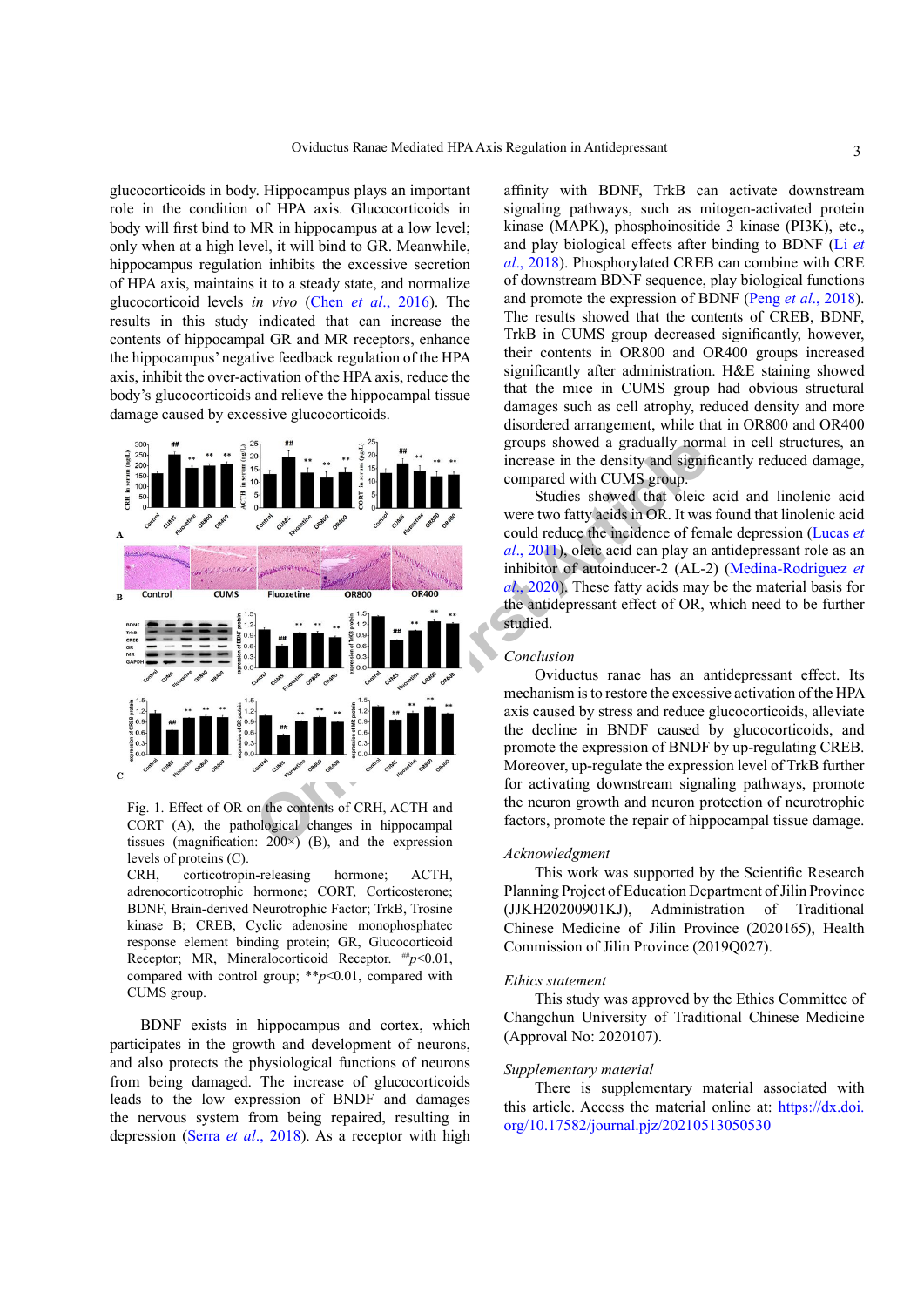glucocorticoids in body. Hippocampus plays an important role in the condition of HPA axis. Glucocorticoids in body will first bind to MR in hippocampus at a low level; only when at a high level, it will bind to GR. Meanwhile, hippocampus regulation inhibits the excessive secretion of HPA axis, maintains it to a steady state, and normalize glucocorticoid levels *in vivo* (Chen *et al*., 2016). The results in this study indicated that can increase the contents of hippocampal GR and MR receptors, enhance the hippocampus' negative feedback regulation of the HPA axis, inhibit the over-activation of the HPA axis, reduce the body's glucocorticoids and relieve the hippocampal tissue damage caused by excessive glucocorticoids.



Fig. 1. Effect of OR on the contents of CRH, ACTH and CORT (A), the pathological changes in hippocampal tissues (magnification:  $200\times$ ) (B), and the expression levels of proteins (C).

CRH, corticotropin-releasing hormone; ACTH, adrenocorticotrophic hormone; CORT, Corticosterone; BDNF, Brain-derived Neurotrophic Factor; TrkB, Trosine kinase B; CREB, Cyclic adenosine monophosphatec response element binding protein; GR, Glucocorticoid Receptor; MR, Mineralocorticoid Receptor. ##*p*<0.01, compared with control group; \*\**p*<0.01, compared with CUMS group.

BDNF exists in hippocampus and cortex, which participates in the growth and development of neurons, and also protects the physiological functions of neurons from being damaged. The increase of glucocorticoids leads to the low expression of BNDF and damages the nervous system from being repaired, resulting in depression (Serra *et al*., 2018). As a receptor with high

affinity with BDNF, TrkB can activate downstream signaling pathways, such as mitogen-activated protein kinase (MAPK), phosphoinositide 3 kinase (PI3K), etc., and play biological effects after binding to BDNF (Li *et al*., 2018). Phosphorylated CREB can combine with CRE of downstream BDNF sequence, play biological functions and promote the expression of BDNF (Peng *et al*., 2018). The results showed that the contents of CREB, BDNF, TrkB in CUMS group decreased significantly, however, their contents in OR800 and OR400 groups increased significantly after administration. H&E staining showed that the mice in CUMS group had obvious structural damages such as cell atrophy, reduced density and more disordered arrangement, while that in OR800 and OR400 groups showed a gradually normal in cell structures, an increase in the density and significantly reduced damage, compared with CUMS group.

Studies showed that oleic acid and linolenic acid were two fatty acids in OR. It was found that linolenic acid could reduce the incidence of female depression (Lucas *et al*., 2011), oleic acid can play an antidepressant role as an inhibitor of autoinducer-2 (AL-2) (Medina-Rodriguez *et al*., 2020). These fatty acids may be the material basis for the antidepressant effect of OR, which need to be further studied.

# *Conclusion*

Oviductus ranae has an antidepressant effect. Its mechanism is to restore the excessive activation of the HPA axis caused by stress and reduce glucocorticoids, alleviate the decline in BNDF caused by glucocorticoids, and promote the expression of BNDF by up-regulating CREB. Moreover, up-regulate the expression level of TrkB further for activating downstream signaling pathways, promote the neuron growth and neuron protection of neurotrophic factors, promote the repair of hippocampal tissue damage.

### *Acknowledgment*

This work was supported by the Scientific Research Planning Project of Education Department of Jilin Province (JJKH20200901KJ), Administration of Traditional Chinese Medicine of Jilin Province (2020165), Health Commission of Jilin Province (2019Q027).

#### *Ethics statement*

This study was approved by the Ethics Committee of Changchun University of Traditional Chinese Medicine (Approval No: 2020107).

#### *Supplementary material*

There is supplementary material associated with this article. Access the material online at: [https://dx.doi.](https://dx.doi.org/10.17582/journal.pjz/20210513050530) [org/10.17582/journal.pjz/20210513050530](https://dx.doi.org/10.17582/journal.pjz/20210513050530)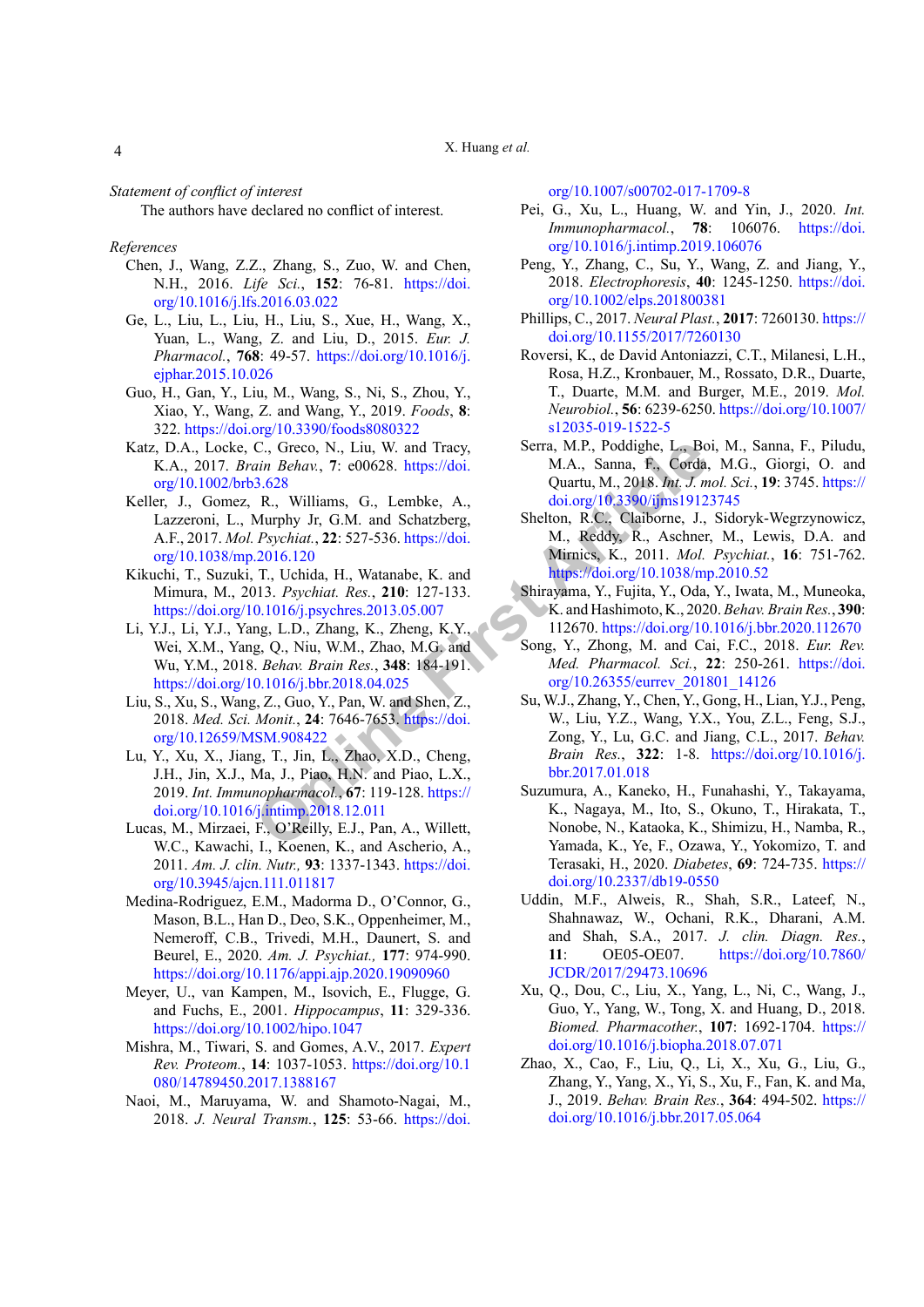X. Huang *et al.*

*Statement of conflict of interest*

The authors have declared no conflict of interest.

### *References*

- Chen, J., Wang, Z.Z., Zhang, S., Zuo, W. and Chen, N.H., 2016. *Life Sci.*, **152**: 76-81. [https://doi.](https://doi.org/10.1016/j.lfs.2016.03.022) [org/10.1016/j.lfs.2016.03.022](https://doi.org/10.1016/j.lfs.2016.03.022)
- Ge, L., Liu, L., Liu, H., Liu, S., Xue, H., Wang, X., Yuan, L., Wang, Z. and Liu, D., 2015. *Eur. J. Pharmacol.*, **768**: 49-57. [https://doi.org/10.1016/j.](https://doi.org/10.1016/j.ejphar.2015.10.026) eiphar.2015.10.026
- Guo, H., Gan, Y., Liu, M., Wang, S., Ni, S., Zhou, Y., Xiao, Y., Wang, Z. and Wang, Y., 2019. *Foods*, **8**: 322.<https://doi.org/10.3390/foods8080322>
- Katz, D.A., Locke, C., Greco, N., Liu, W. and Tracy, K.A., 2017. *Brain Behav.*, **7**: e00628. https://doi. [org/10.1002/brb3.628](https://doi.org/10.1002/brb3.628)
- Keller, J., Gomez, R., Williams, G., Lembke, A., Lazzeroni, L., Murphy Jr, G.M. and Schatzberg, A.F., 2017. *Mol. Psychiat.*, **22**: 527-536. https://doi. [org/10.1038/mp.2016.120](https://doi.org/10.1038/mp.2016.120)
- Kikuchi, T., Suzuki, T., Uchida, H., Watanabe, K. and Mimura, M., 2013. *Psychiat. Res.*, **210**: 127-133. <https://doi.org/10.1016/j.psychres.2013.05.007>
- Li, Y.J., Li, Y.J., Yang, L.D., Zhang, K., Zheng, K.Y., Wei, X.M., Yang, Q., Niu, W.M., Zhao, M.G. and Wu, Y.M., 2018. *Behav. Brain Res.*, **348**: 184-191. <https://doi.org/10.1016/j.bbr.2018.04.025>
- Liu, S., Xu, S., Wang, Z., Guo, Y., Pan, W. and Shen, Z., 2018. *Med. Sci. Monit.*, **24**: 7646-7653. https://doi. [org/10.12659/MSM.908422](https://doi.org/10.12659/MSM.908422)
- Lu, Y., Xu, X., Jiang, T., Jin, L., Zhao, X.D., Cheng, J.H., Jin, X.J., Ma, J., Piao, H.N. and Piao, L.X., 2019. *Int. Immunopharmacol.*, **67**: 119-128. https:// [doi.org/10.1016/j.intimp.2018.12.011](https://doi.org/10.1016/j.intimp.2018.12.011)
- Lucas, M., Mirzaei, F., O'Reilly, E.J., Pan, A., Willett, W.C., Kawachi, I., Koenen, K., and Ascherio, A., 2011. *Am. J. clin. Nutr.,* **93**: 1337-1343. [https://doi.](https://doi.org/10.3945/ajcn.111.011817) [org/10.3945/ajcn.111.011817](https://doi.org/10.3945/ajcn.111.011817)
- Medina-Rodriguez, E.M., Madorma D., O'Connor, G., Mason, B.L., Han D., Deo, S.K., Oppenheimer, M., Nemeroff, C.B., Trivedi, M.H., Daunert, S. and Beurel, E., 2020. *Am. J. Psychiat.,* **177**: 974-990. <https://doi.org/10.1176/appi.ajp.2020.19090960>
- Meyer, U., van Kampen, M., Isovich, E., Flugge, G. and Fuchs, E., 2001. *Hippocampus*, **11**: 329-336. <https://doi.org/10.1002/hipo.1047>
- Mishra, M., Tiwari, S. and Gomes, A.V., 2017. *Expert Rev. Proteom.*, **14**: 1037-1053. [https://doi.org/10.1](https://doi.org/10.1080/14789450.2017.1388167) [080/14789450.2017.1388167](https://doi.org/10.1080/14789450.2017.1388167)
- Naoi, M., Maruyama, W. and Shamoto-Nagai, M., 2018. *J. Neural Transm.*, **125**: 53-66. [https://doi.](https://doi.org/10.1007/s00702-017-1709-8)

[org/10.1007/s00702-017-1709-8](https://doi.org/10.1007/s00702-017-1709-8)

- Pei, G., Xu, L., Huang, W. and Yin, J., 2020. *Int. Immunopharmacol.*, **78**: 106076. [https://doi.](https://doi.org/10.1016/j.intimp.2019.106076) [org/10.1016/j.intimp.2019.106076](https://doi.org/10.1016/j.intimp.2019.106076)
- Peng, Y., Zhang, C., Su, Y., Wang, Z. and Jiang, Y., 2018. *Electrophoresis*, **40**: 1245-1250. [https://doi.](https://doi.org/10.1002/elps.201800381) [org/10.1002/elps.201800381](https://doi.org/10.1002/elps.201800381)
- Phillips, C., 2017. *Neural Plast.*, **2017**: 7260130. [https://](https://doi.org/10.1155/2017/7260130) [doi.org/10.1155/2017/7260130](https://doi.org/10.1155/2017/7260130)
- Roversi, K., de David Antoniazzi, C.T., Milanesi, L.H., Rosa, H.Z., Kronbauer, M., Rossato, D.R., Duarte, T., Duarte, M.M. and Burger, M.E., 2019. *Mol. Neurobiol.*, **56**: 6239-6250. [https://doi.org/10.1007/](https://doi.org/10.1007/s12035-019-1522-5) [s12035-019-1522-5](https://doi.org/10.1007/s12035-019-1522-5)
- Serra, M.P., Poddighe, L., Boi, M., Sanna, F., Piludu, M.A., Sanna, F., Corda, M.G., Giorgi, O. and Quartu, M., 2018. *Int. J. mol. Sci.*, **19**: 3745. [https://](https://doi.org/10.3390/ijms19123745) doi.org/10.3390/ijms19123745
- Shelton, R.C., Claiborne, J., Sidoryk-Wegrzynowicz, M., Reddy, R., Aschner, M., Lewis, D.A. and Mirnics, K., 2011. *Mol. Psychiat.*, **16**: 751-762. https://doi.org/10.1038/mp.2010.52
- Shirayama, Y., Fujita, Y., Oda, Y., Iwata, M., Muneoka, K. and Hashimoto, K., 2020. *Behav. Brain Res.*, **390**: 112670.<https://doi.org/10.1016/j.bbr.2020.112670>
- Song, Y., Zhong, M. and Cai, F.C., 2018. *Eur. Rev. Med. Pharmacol. Sci.*, **22**: 250-261. [https://doi.](https://doi.org/10.26355/eurrev_201801_14126) [org/10.26355/eurrev\\_201801\\_14126](https://doi.org/10.26355/eurrev_201801_14126)
- C., Greco, N., Liu, W. and Tracy,<br>
Serra, M.P., Poddighe, L., Bo<br>
ain Behav., 7: e00628. h[t](https://doi.org/10.1038/mp.2010.52)tps://doi.<br>
M.A., Sama, F., Corda,<br>
2018. Int., S.M. and Schatzberg,<br>
Murphy Jr, G.M. and Schatzberg,<br>
Shelton, R.C. Claiborne, J. Su, W.J., Zhang, Y., Chen, Y., Gong, H., Lian, Y.J., Peng, W., Liu, Y.Z., Wang, Y.X., You, Z.L., Feng, S.J., Zong, Y., Lu, G.C. and Jiang, C.L., 2017. *Behav. Brain Res.*, **322**: 1-8. [https://doi.org/10.1016/j.](https://doi.org/10.1016/j.bbr.2017.01.018) bbr.2017.01.018
	- Suzumura, A., Kaneko, H., Funahashi, Y., Takayama, K., Nagaya, M., Ito, S., Okuno, T., Hirakata, T., Nonobe, N., Kataoka, K., Shimizu, H., Namba, R., Yamada, K., Ye, F., Ozawa, Y., Yokomizo, T. and Terasaki, H., 2020. *Diabetes*, **69**: 724-735. [https://](https://doi.org/10.2337/db19-0550) [doi.org/10.2337/db19-0550](https://doi.org/10.2337/db19-0550)
	- Uddin, M.F., Alweis, R., Shah, S.R., Lateef, N., Shahnawaz, W., Ochani, R.K., Dharani, A.M. and Shah, S.A., 2017. *J. clin. Diagn. Res.*, **11**: OE05-OE07. [https://doi.org/10.7860/](https://doi.org/10.7860/JCDR/2017/29473.10696) [JCDR/2017/29473.10696](https://doi.org/10.7860/JCDR/2017/29473.10696)
	- Xu, Q., Dou, C., Liu, X., Yang, L., Ni, C., Wang, J., Guo, Y., Yang, W., Tong, X. and Huang, D., 2018. *Biomed. Pharmacother.*, **107**: 1692-1704. [https://](https://doi.org/10.1016/j.biopha.2018.07.071) [doi.org/10.1016/j.biopha.2018.07.071](https://doi.org/10.1016/j.biopha.2018.07.071)
	- Zhao, X., Cao, F., Liu, Q., Li, X., Xu, G., Liu, G., Zhang, Y., Yang, X., Yi, S., Xu, F., Fan, K. and Ma, J., 2019. *Behav. Brain Res.*, **364**: 494-502. [https://](https://doi.org/10.1016/j.bbr.2017.05.064) [doi.org/10.1016/j.bbr.2017.05.064](https://doi.org/10.1016/j.bbr.2017.05.064)